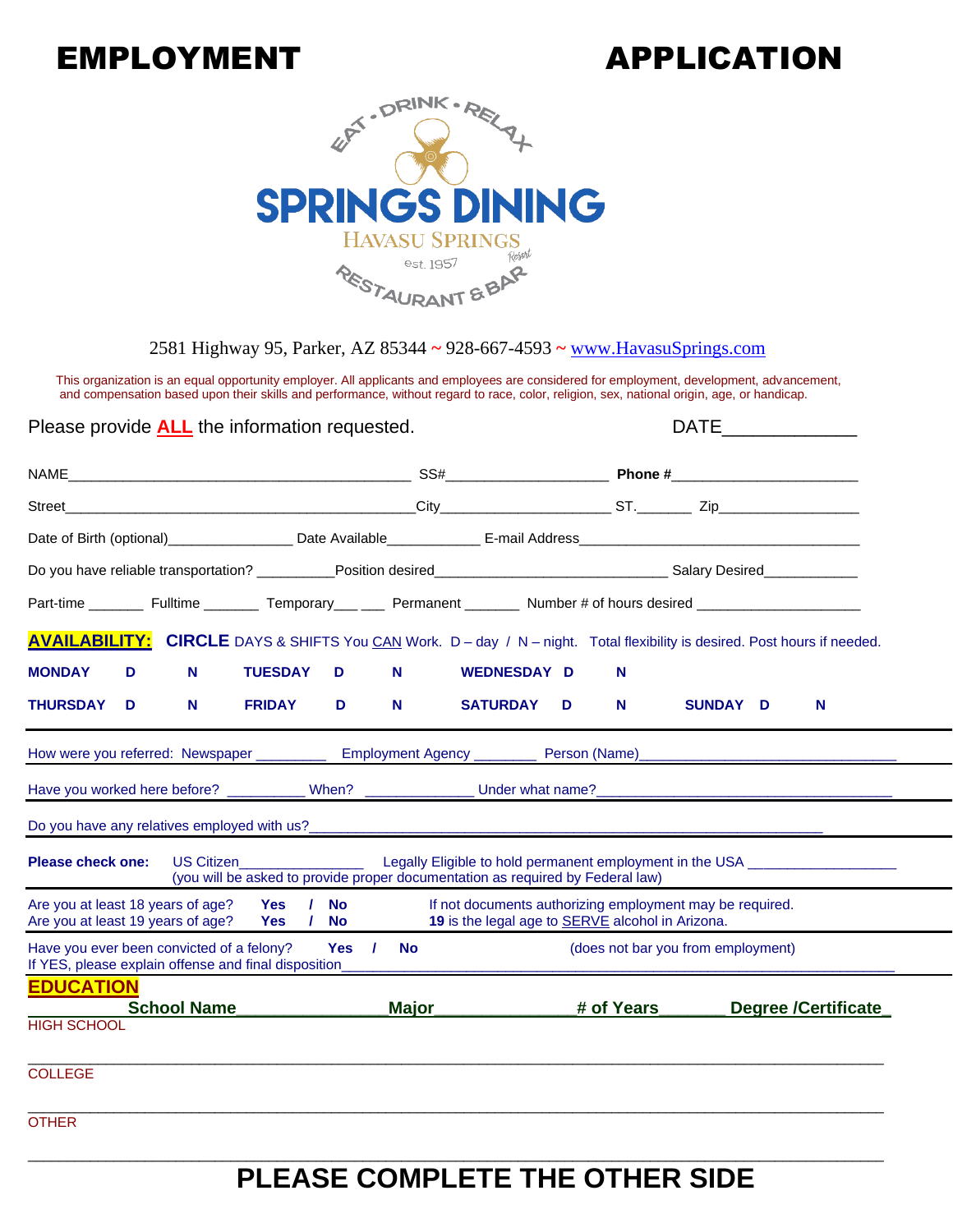# EMPLOYMENT APPLICATION



2581 Highway 95, Parker, AZ 85344 **~** 928-667-4593 **~** [www.HavasuSprings.com](http://www.havasusprings.com/)

This organization is an equal opportunity employer. All applicants and employees are considered for employment, development, advancement, and compensation based upon their skills and performance, without regard to race, color, religion, sex, national origin, age, or handicap.

Please provide **ALL** the information requested.

| NAME                                                                                                                                    |                                                                                                                                                                                                                                                                                                                        |              |                                                                                                              |                                    |          |  |                            |
|-----------------------------------------------------------------------------------------------------------------------------------------|------------------------------------------------------------------------------------------------------------------------------------------------------------------------------------------------------------------------------------------------------------------------------------------------------------------------|--------------|--------------------------------------------------------------------------------------------------------------|------------------------------------|----------|--|----------------------------|
| $\text{City}$ ST. $\text{zip}$ Zip<br>Street                                                                                            |                                                                                                                                                                                                                                                                                                                        |              |                                                                                                              |                                    |          |  |                            |
|                                                                                                                                         |                                                                                                                                                                                                                                                                                                                        |              |                                                                                                              |                                    |          |  |                            |
|                                                                                                                                         |                                                                                                                                                                                                                                                                                                                        |              |                                                                                                              |                                    |          |  |                            |
| Part-time __________ Fulltime _________ Temporary____ ____ Permanent ________ Number # of hours desired _______________________________ |                                                                                                                                                                                                                                                                                                                        |              |                                                                                                              |                                    |          |  |                            |
| <b>AVAILABILITY:</b> CIRCLE DAYS & SHIFTS You CAN Work. D - day / N - night. Total flexibility is desired. Post hours if needed.        |                                                                                                                                                                                                                                                                                                                        |              |                                                                                                              |                                    |          |  |                            |
| <b>MONDAY</b><br>N<br>D                                                                                                                 | <b>TUESDAY</b><br>D                                                                                                                                                                                                                                                                                                    | N            | <b>WEDNESDAY D</b>                                                                                           | N.                                 |          |  |                            |
| N<br><b>THURSDAY</b><br>D                                                                                                               | <b>FRIDAY</b><br>D                                                                                                                                                                                                                                                                                                     | N            | <b>SATURDAY</b><br>D                                                                                         | N                                  | SUNDAY D |  | N                          |
| How were you referred: Newspaper ____________ Employment Agency ________ Person (Name)______________________________                    |                                                                                                                                                                                                                                                                                                                        |              |                                                                                                              |                                    |          |  |                            |
|                                                                                                                                         |                                                                                                                                                                                                                                                                                                                        |              |                                                                                                              |                                    |          |  |                            |
|                                                                                                                                         |                                                                                                                                                                                                                                                                                                                        |              |                                                                                                              |                                    |          |  |                            |
| <b>Please check one:</b>                                                                                                                | US Citizen <b>Exercise Service Service Service Service Service Service Service Service Service Service Service Service Service Service Service Service Service Service Service Service Service Service Service Service Service S</b><br>(you will be asked to provide proper documentation as required by Federal law) |              | Legally Eligible to hold permanent employment in the USA _______________________                             |                                    |          |  |                            |
| Are you at least 18 years of age? Yes / No<br>Are you at least 19 years of age? Yes / No                                                |                                                                                                                                                                                                                                                                                                                        |              | If not documents authorizing employment may be required.<br>19 is the legal age to SERVE alcohol in Arizona. |                                    |          |  |                            |
| Have you ever been convicted of a felony?<br>If YES, please explain offense and final disposition                                       | Yes /                                                                                                                                                                                                                                                                                                                  | <b>No</b>    |                                                                                                              | (does not bar you from employment) |          |  |                            |
| <b>EDUCATION</b><br><b>School Name</b>                                                                                                  |                                                                                                                                                                                                                                                                                                                        | <b>Major</b> |                                                                                                              | # of Years                         |          |  | <b>Degree /Certificate</b> |
| <b>HIGH SCHOOL</b>                                                                                                                      |                                                                                                                                                                                                                                                                                                                        |              |                                                                                                              |                                    |          |  |                            |
| <b>COLLEGE</b>                                                                                                                          |                                                                                                                                                                                                                                                                                                                        |              |                                                                                                              |                                    |          |  |                            |
| <b>OTHER</b>                                                                                                                            |                                                                                                                                                                                                                                                                                                                        |              |                                                                                                              |                                    |          |  |                            |

## **PLEASE COMPLETE THE OTHER SIDE**

\_\_\_\_\_\_\_\_\_\_\_\_\_\_\_\_\_\_\_\_\_\_\_\_\_\_\_\_\_\_\_\_\_\_\_\_\_\_\_\_\_\_\_\_\_\_\_\_\_\_\_\_\_\_\_\_\_\_\_\_\_\_\_\_\_\_\_\_\_\_\_\_\_\_\_\_\_\_\_\_\_\_\_\_\_\_\_\_\_\_\_\_\_\_\_\_\_\_\_\_\_\_\_\_\_\_\_\_\_\_